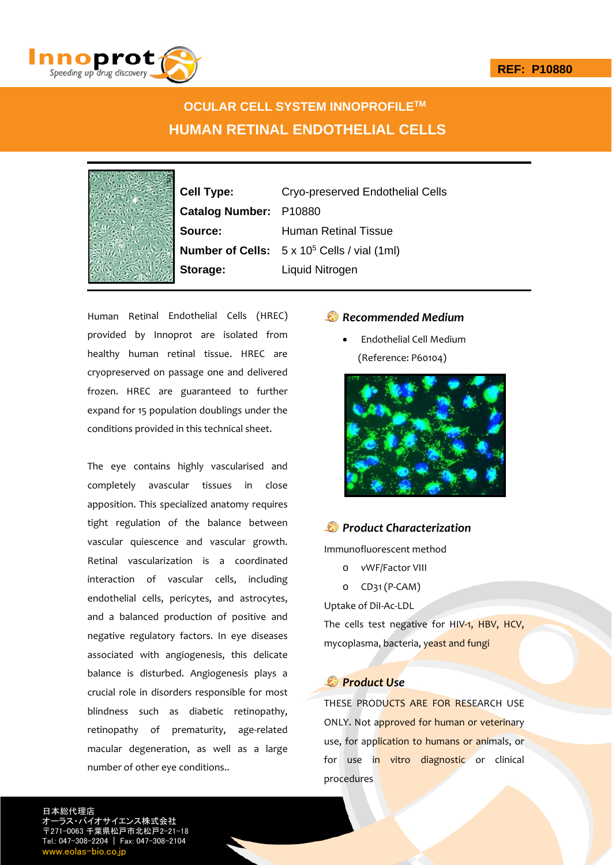

# **OCULAR CELL SYSTEM INNOPROFILETM HUMAN RETINAL ENDOTHELIAL CELLS**

|   |  | $\mathbf$               |
|---|--|-------------------------|
|   |  | $\overline{\mathbf{C}}$ |
|   |  |                         |
|   |  | $\ddot{\bm{z}}$         |
|   |  | ľ                       |
|   |  |                         |
|   |  | $\ddot{\cdot}$          |
| в |  |                         |

**Cell Type:** Cryo-preserved Endothelial Cells **Catalog Number:** P10880 **Source:** Human Retinal Tissue **Number of Cells:** 5 x 105 Cells / vial (1ml) **Storage:** Liquid Nitrogen

Human Retinal Endothelial Cells (HREC) provided by Innoprot are isolated from healthy human retinal tissue. HREC are cryopreserved on passage one and delivered frozen. HREC are guaranteed to further expand for 15 population doublings under the conditions provided in this technical sheet.

The eye contains highly vascularised and completely avascular tissues in close apposition. This specialized anatomy requires tight regulation of the balance between vascular quiescence and vascular growth. Retinal vascularization is a coordinated interaction of vascular cells, including endothelial cells, pericytes, and astrocytes, and a balanced production of positive and negative regulatory factors. In eye diseases associated with angiogenesis, this delicate balance is disturbed. Angiogenesis plays a crucial role in disorders responsible for most blindness such as diabetic retinopathy, retinopathy of prematurity, age-related macular degeneration, as well as a large number of other eye conditions..

## *Recommended Medium*

 Endothelial Cell Medium (Reference: P60104)



# *Product Characterization*

Immunofluorescent method

- o vWF/Factor VIII
- o CD31 (P‐CAM)

Uptake of DiI‐Ac‐LDL The cells test negative for HIV-1, HBV, HCV, mycoplasma, bacteria, yeast and fungi

## *Product Use*

THESE PRODUCTS ARE FOR RESEARCH USE ONLY. Not approved for human or veterinary use, for application to humans or animals, or for use in vitro diagnostic or clinical procedures

日本総代理店 サイエンス株式会社 〒271-0063 千葉県松戸市北松戸2-21-18 Tel.: 047-308-2204 | Fax: 047-308-2104 w.eolas-bio.co.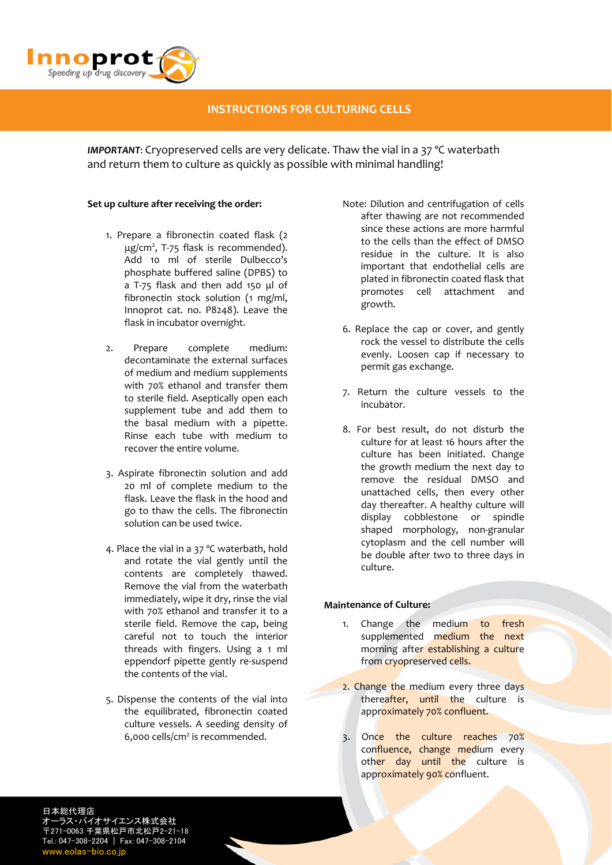

## **INSTRUCTIONS FOR CULTURING CELLS**

*IMPORTANT*: Cryopreserved cells are very delicate. Thaw the vial in a 37 ºC waterbath and return them to culture as quickly as possible with minimal handling!

#### **Set up culture after receiving the order:**

- 1. Prepare a fibronectin coated flask (2 μg/cm<sup>2</sup>, T-75 flask is recommended). Add 10 ml of sterile Dulbecco's phosphate buffered saline (DPBS) to a T‐75 flask and then add 150 μl of fibronectin stock solution (1 mg/ml, Innoprot cat. no. P8248). Leave the flask in incubator overnight.
- 2. Prepare complete medium: decontaminate the external surfaces of medium and medium supplements with 70% ethanol and transfer them to sterile field. Aseptically open each supplement tube and add them to the basal medium with a pipette. Rinse each tube with medium to recover the entire volume.
- 3. Aspirate fibronectin solution and add 20 ml of complete medium to the flask. Leave the flask in the hood and go to thaw the cells. The fibronectin solution can be used twice.
- 4. Place the vial in a 37 ºC waterbath, hold and rotate the vial gently until the contents are completely thawed. Remove the vial from the waterbath immediately, wipe it dry, rinse the vial with 70% ethanol and transfer it to a sterile field. Remove the cap, being careful not to touch the interior threads with fingers. Using a 1 ml eppendorf pipette gently re‐suspend the contents of the vial.
- 5. Dispense the contents of the vial into the equilibrated, fibronectin coated culture vessels. A seeding density of 6,000 cells/cm2 is recommended.
- Note: Dilution and centrifugation of cells after thawing are not recommended since these actions are more harmful to the cells than the effect of DMSO residue in the culture. It is also important that endothelial cells are plated in fibronectin coated flask that promotes cell attachment and growth.
- 6. Replace the cap or cover, and gently rock the vessel to distribute the cells evenly. Loosen cap if necessary to permit gas exchange.
- 7. Return the culture vessels to the incubator.
- 8. For best result, do not disturb the culture for at least 16 hours after the culture has been initiated. Change the growth medium the next day to remove the residual DMSO and unattached cells, then every other day thereafter. A healthy culture will display cobblestone or spindle shaped morphology, non‐granular cytoplasm and the cell number will be double after two to three days in culture.

### **Maintenance of Culture:**

- 1. Change the medium to fresh supplemented medium the next morning after establishing a culture from cryopreserved cells.
- 2. Change the medium every three days thereafter, until the culture is approximately 70% confluent.
- 3. Once the culture reaches 70% confluence, change medium every other day until the culture is approximately 90% confluent.

日本総代理店 ラス・バイオサイエンス株式会社 〒271-0063 千葉県松戸市北松戸2-21-18 Tel.: 047-308-2204 | Fax: 047-308-2104 www.eolas-bio.co.